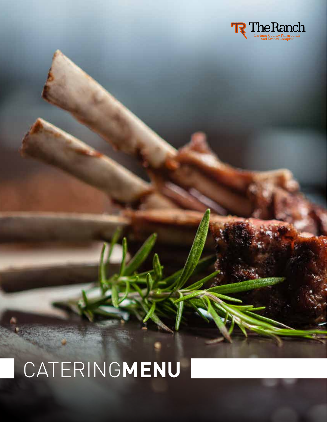

# CATERING**MENU**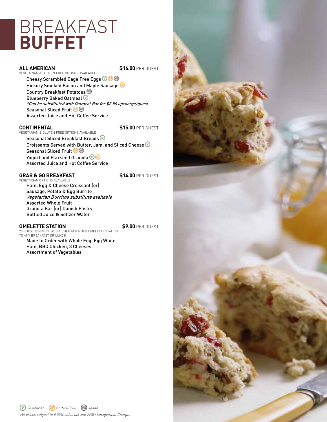# **BREAKFAST BUFFET**

**ALL AMERICAN \$16.00 PER GUEST** 

VEGETARIAN & GLUTEN FREE OPTIONS AVAILABLE Cheesy Scrambled Cage Free Eggs **OG** Hickory Smoked Bacon and Maple Sausage Country Breakfast Potatoes Blueberry Baked Oatmeal  $\overline{\mathbb{O}}$ \*Can be substituted with Oatmeal Bar for \$2.50 upcharge/guest Seasonal Sliced Fruit<sup>6</sup> Assorted Juice and Hot Coffee Service

**CONTINENTAL \$15.00 PER GUEST** 

VEGETARIAN & GLUTEN FREE OPTIONS AVAILABLE Seasonal Sliced Breakfast Breads Croissants Served with Butter, Jam, and Sliced Cheese  $\overline{\mathbb{O}}$ Seasonal Sliced Fruit<sup>C</sup>® Yogurt and Flaxseed Granola Assorted Juice and Hot Coffee Service

#### GRAB & GO BREAKFAST **\$14.00** PER GUEST

VEGETARIAN OPTIONS AVAILABL Ham, Egg & Cheese Croissant (or) Sausage, Potato & Egg Burrito Vegetarian Burritos substitute available Assorted Whole Fruit Granola Bar (or) Danish Pastry Bottled Juice & Seltzer Water

### **OMELETTE STATION \$9.00 PER GUEST**

25 GUEST MINIMUM. ADD A CHEF ATTENDED OMELETTE STATION TO ANY BREAKFAST OR LUNCH

Made to Order with Whole Egg, Egg White, Ham, BBQ Chicken, 3 Cheeses Assortment of Vegetables

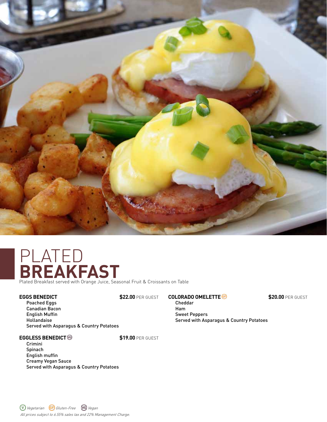

## PLATED **BREAKFAST** Plated Breakfast served with Orange Juice, Seasonal Fruit & Croissants on Table

### **EGGS BENEDICT \$22.00 PER GUEST**

Poached Eggs Canadian Bacon English Muffin Hollandaise Served with Asparagus & Country Potatoes

#### **EGGLESS BENEDICT<sup>®</sup>**

Crimini Spinach English muffin Creamy Vegan Sauce Served with Asparagus & Country Potatoes

#### **COLORADO OMELETTE 6**<br>**S20.00** PER GUEST

Cheddar Ham Sweet Peppers Served with Asparagus & Country Potatoes

#### All prices subject to 6.55% sales tax and 22% Management Charge. Vegetarian Gluten-Free Vegan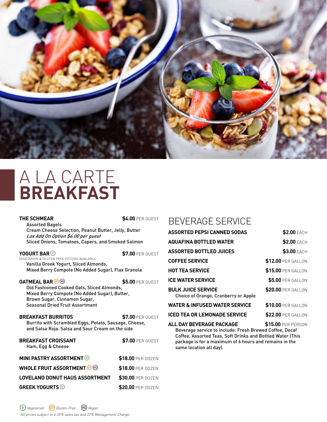

# A LA CARTE **BREAKFAST**

#### THE SCHMEAR **\$4.00 PER GUEST**

Assorted Bagels Cream Cheese Selection, Peanut Butter, Jelly, Butter Lox Add On Option \$6.00 per guest Sliced Onions, Tomatoes, Capers, and Smoked Salmon

**YOGURT BAR 37.00 PER GUEST** VEGETARIAN & GLUTEN FREE OPTIONS AVAILABLE Vanilla Greek Yogurt, Sliced Almonds, Mixed Berry Compote (No Added Sugar), Flax Granola

**OATMEAL BAR 6 6 6 6 7 7 7 7 8 5.00 PER GUEST** Old Fashioned Cooked Oats, Sliced Almonds, Mixed Berry Compote (No Added Sugar), Butter, Brown Sugar, Cinnamon Sugar, Seasonal Dried Fruit Assortment

**BREAKFAST BURRITOS \$7.00 PER GUEST** Burrito with Scrambled Eggs, Potato, Sausage, Cheese, and Salsa Roja. Salsa and Sour Cream on the side

| <b>BREAKFAST CROISSANT</b><br>Ham, Egg & Cheese | \$7.00 PER GUEST  |
|-------------------------------------------------|-------------------|
| <b>MINI PASTRY ASSORTMENT</b>                   | \$18.00 PER DOZEN |
| <b>WHOLE FRUIT ASSORTMENT GO</b>                | \$18.00 PER DOZEN |
| <b>LOVELAND DONUT HAUS ASSORTMENT</b>           | \$30.00 PER DOZEN |
| <b>GREEK YOGURTS</b>                            | \$20.00 PER DOZEN |

## BEVERAGE SERVICE

| <b>ASSORTED PEPSI CANNED SODAS</b>                                | <b>\$2.00 EACH</b>        |
|-------------------------------------------------------------------|---------------------------|
| <b>AQUAFINA BOTTLED WATER</b>                                     | <b>\$2.00 FACH</b>        |
| <b>ASSORTED BOTTLED JUICES</b>                                    | <b>\$3.00 EACH</b>        |
| <b>COFFEE SERVICE</b>                                             | <b>\$12.00 PER GALLON</b> |
| <b>HOT TEA SERVICE</b>                                            | \$15.00 PER GALLON        |
| <b>ICE WATER SERVICE</b>                                          | <b>\$5.00 PER GALLON</b>  |
| <b>BULK JUICE SERVICE</b><br>Choice of Orange, Cranberry or Apple | <b>\$20.00 PER GALLON</b> |
| <b>WATER &amp; INFUSED WATER SERVICE</b>                          | \$10.00 PER GALLON        |
| <b>ICED TEA OR LEMONADE SERVICE</b>                               | \$22.00 PER GALLON        |
|                                                                   |                           |

**ALL DAY BEVERAGE PACKAGE \$15.00** PER PERSON

Beverage service to include: Fresh Brewed Coffee, Decaf Coffee, Assorted Teas, Soft Drinks and Bottled Water (This package is for a maximum of 6 hours and remains in the same location all day).

All prices subject to 6.55% sales tax and 22% Management Charge. Vegetarian GD Gluten-Free **VG** Vegan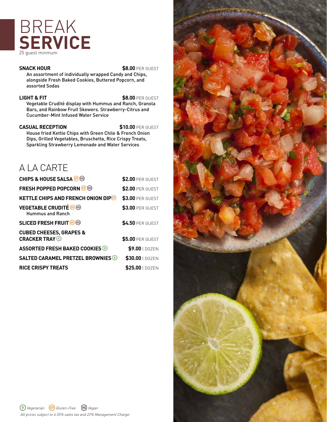# BREAK SERVICE

**SNACK HOUR** \$8.00 PER GUEST

An assortment of individually wrapped Candy and Chips, alongside Fresh Baked Cookies, Buttered Popcorn, and assorted Sodas

**LIGHT & FIT** \$8.00 PER GUEST

Vegetable Crudité display with Hummus and Ranch, Granola Bars, and Rainbow Fruit Skewers. Strawberry-Citrus and Cucumber-Mint Infused Water Service

#### **CASUAL RECEPTION \$10.00 PER GUEST**

House fried Kettle Chips with Green Chile & French Onion Dips, Grilled Vegetables, Bruschetta, Rice Crispy Treats, Sparkling Strawberry Lemonade and Water Services

## A LA CARTE

| <b>CHIPS &amp; HOUSE SALSA</b> @ @                        | \$2.00 PER GUEST        |
|-----------------------------------------------------------|-------------------------|
| <b>FRESH POPPED POPCORN GO</b>                            | \$2.00 PER GUEST        |
| <b>KETTLE CHIPS AND FRENCH ONION DIP®</b>                 | \$3.00 PER GUEST        |
| <b>VEGETABLE CRUDITÉ G G</b><br><b>Hummus and Ranch</b>   | <b>\$3.00 PER GUEST</b> |
| <b>SLICED FRESH FRUIT OF</b>                              | <b>\$4.50 PER GUEST</b> |
| <b>CUBED CHEESES, GRAPES &amp;</b><br><b>CRACKER TRAY</b> | \$5.00 PER GUEST        |
| <b>ASSORTED FRESH BAKED COOKIES</b>                       | \$9.00   DOZEN          |
| <b>SALTED CARAMEL PRETZEL BROWNIES</b>                    | \$30.00   DOZEN         |
| <b>RICE CRISPY TREATS</b>                                 | <b>\$25.00</b>   DOZEN  |

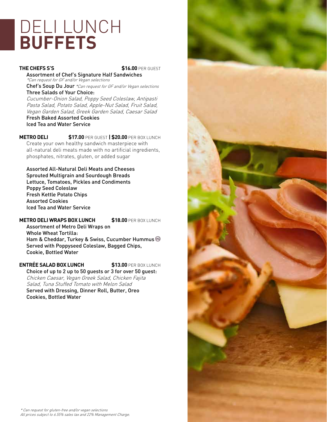# DELI LUNCH **BUFFETS**

### **THE CHEFS S'S** \$16.00 PER GUEST

Assortment of Chef's Signature Half Sandwiches \*Can request for GF and/or Vegan selections Chef's Soup Du Jour \*Can request for GF and/or Vegan selections

Three Salads of Your Choice:

Cucumber-Onion Salad, Poppy Seed Coleslaw, Antipasti Pasta Salad, Potato Salad, Apple-Nut Salad, Fruit Salad, Vegan Garden Salad, Greek Garden Salad, Caesar Salad Fresh Baked Assorted Cookies Iced Tea and Water Service

**METRO DELI \$17.00** PER GUEST **| \$20.00** PER BOX LUNCH Create your own healthy sandwich masterpiece with all-natural deli meats made with no artificial ingredients, phosphates, nitrates, gluten, or added sugar

Assorted All-Natural Deli Meats and Cheeses Sprouted Multigrain and Sourdough Breads Lettuce, Tomatoes, Pickles and Condiments Poppy Seed Coleslaw Fresh Kettle Potato Chips Assorted Cookies Iced Tea and Water Service

**METRO DELI WRAPS BOX LUNCH \$18.00 PER BOX LUNCH** 

Assortment of Metro Deli Wraps on Whole Wheat Tortilla: Ham & Cheddar, Turkey & Swiss, Cucumber Hummus Served with Poppyseed Coleslaw, Bagged Chips, Cookie, Bottled Water

**ENTRÉE SALAD BOX LUNCH \$13.00** PER BOX LUNCH Choice of up to 2 up to 50 guests or 3 for over 50 guest: Chicken Caesar, Vegan Greek Salad, Chicken Fajita Salad, Tuna Stuffed Tomato with Melon Salad Served with Dressing, Dinner Roll, Butter, Oreo Cookies, Bottled Water

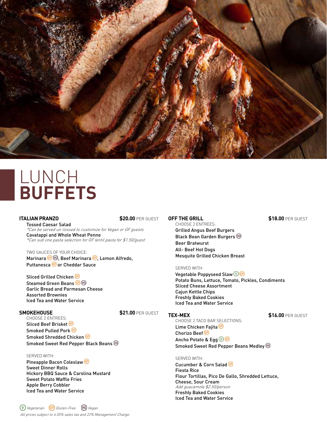

## LUNCH **BUFFETS**

#### **ITALIAN PRANZO \$20.00** PER GUEST

Tossed Caesar Salad \*Can be served un-tossed to customize for Vegan or GF guests Cavatappi and Whole Wheat Penne \*Can sub one pasta selection for GF lentil pasta for \$1.50/guest

TWO SAUCES OF YOUR CHOICE: Marinara **G** S, Beef Marinara **G**, Lemon Alfredo, Puttanesca **C** or Cheddar Sauce

Sliced Grilled Chicken Steamed Green Beans C Garlic Bread and Parmesan Cheese Assorted Brownies Iced Tea and Water Service

#### **SMOKEHOUSE \$21.00** PER GUEST

CHOOSE 2 ENTREES: Sliced Beef Brisket Smoked Pulled Pork Smoked Shredded Chicken Smoked Sweet Red Pepper Black Beans

#### SERVED WITH:

Pineapple Bacon Coleslaw Sweet Dinner Rolls Hickory BBQ Sauce & Carolina Mustard Sweet Potato Waffle Fries Apple Berry Cobbler Iced Tea and Water Service

#### **OFF THE GRILL \$18.00 PER GUEST**

CHOOSE 2 ENTREES: Grilled Angus Beef Burgers Black Bean Garden Burgers Beer Bratwurst All- Beef Hot Dogs Mesquite Grilled Chicken Breast

#### SERVED WITH:

Vegetable Poppyseed Slaw **V** Potato Buns, Lettuce, Tomato, Pickles, Condiments Sliced Cheese Assortment Cajun Kettle Chips Freshly Baked Cookies Iced Tea and Water Service

**TEX-MEX \$16.00** PER GUEST CHOOSE 2 TACO BAR SELECTIONS: Lime Chicken Fajita<sup>®</sup> Chorizo Beef<sup><sup>®</sup></sup> Ancho Potato & Egg  $\textcircled{9}$ Smoked Sweet Red Pepper Beans Medley

#### SERVED WITH:

Cucumber & Corn Salad Fiesta Rice Flour Tortillas, Pico De Gallo, Shredded Lettuce, Cheese, Sour Cream Add guacamole \$2.50/person Freshly Baked Cookies Iced Tea and Water Service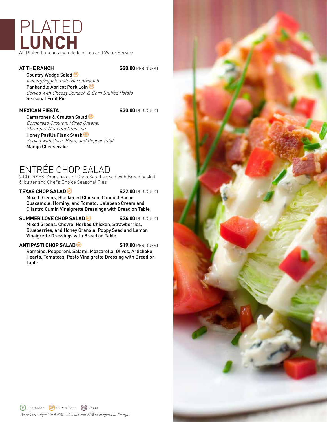## PLATED **LUNCH** All Plated Lunches include Iced Tea and Water Service

**AT THE RANCH \$20.00 PER GUEST** 

Country Wedge Salad Iceberg/Egg/Tomato/Bacon/Ranch Panhandle Apricot Pork Loin Served with Cheesy Spinach & Corn Stuffed Potato Seasonal Fruit Pie

### **MEXICAN FIESTA** \$30.00 PER GUEST

Camarones & Crouton Salad Cornbread Crouton, Mixed Greens, Shrimp & Clamato Dressing

Honey Pasilla Flank Steak

Served with Corn, Bean, and Pepper Pilaf Mango Cheesecake

## ENTRÉE CHOP SALAD

2 COURSES: Your choice of Chop Salad served with Bread basket & butter and Chef's Choice Seasonal Pies

#### **TEXAS CHOP SALAD 6 \$22.00** PER GUEST

Mixed Greens, Blackened Chicken, Candied Bacon, Guacamole, Hominy, and Tomato. Jalapeno Cream and Cilantro Cumin Vinaigrette Dressings with Bread on Table

#### **SUMMER LOVE CHOP SALAD <b>6** \$24.00 PER GUEST

Mixed Greens, Chevre, Herbed Chicken, Strawberries, Blueberries, and Honey Granola. Poppy Seed and Lemon Vinaigrette Dressings with Bread on Table

#### **ANTIPASTI CHOP SALAD<sup>66</sup> \$19.00** PER GUEST

Romaine, Pepperoni, Salami, Mozzarella, Olives, Artichoke Hearts, Tomatoes, Pesto Vinaigrette Dressing with Bread on Table

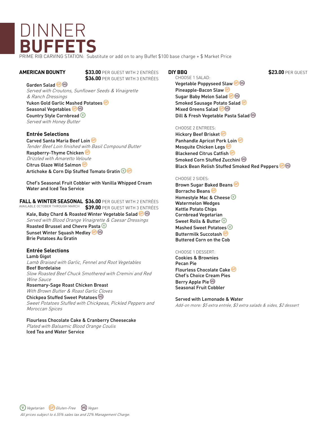# DINNER **BUFFETS**

PRIME RIB CARVING STATION: Substitute or add on to any Buffet \$100 base charge + \$ Market Price

**AMERICAN BOUNTY \$33.00** PER GUEST WITH 2 ENTRÉES  **\$36.00** PER GUEST WITH 3 ENTRÉES

Garden Salad<sup>6</sup> Served with Croutons, Sunflower Seeds & Vinaigrette & Ranch Dressings

#### Yukon Gold Garlic Mashed Potatoes Seasonal Vegetables <sup>@</sup> Country Style Cornbread Served with Honey Butter

#### **Entrée Selections**

Carved Santa Maria Beef Loin Tender Beef Loin finished with Basil Compound Butter Raspberry-Thyme Chicken Drizzled with Amaretto Veloute Citrus Glaze Wild Salmon Artichoke & Corn Dip Stuffed Tomato Gratin @ @

Chef's Seasonal Fruit Cobbler with Vanilla Whipped Cream Water and Iced Tea Service

**FALL & WINTER SEASONAL \$36.00** PER GUEST WITH 2 ENTRÉES **\$39.00** PER GUEST WITH 3 ENTRÉES AVAILABLE OCTOBER THROUGH MARCH

Kale, Baby Chard & Roasted Winter Vegetable Salad <sup>@</sup> Served with Blood Orange Vinaigrette & Caesar Dressings

Roasted Brussel and Chevre Pasta Sunset Winter Squash Medley & Brie Potatoes Au Gratin

### **Entrée Selections**

Lamb Gigot Lamb Braised with Garlic, Fennel and Root Vegetables Beef Bordelaise Slow Roasted Beef Chuck Smothered with Cremini and Red

Wine Sauce Rosemary-Sage Roast Chicken Breast With Brown Butter & Roast Garlic Cloves

Chickpea Stuffed Sweet Potatoes Sweet Potatoes Stuffed with Chickpeas, Pickled Peppers and Moroccan Spices

#### Flourless Chocolate Cake & Cranberry Cheesecake Plated with Balsamic Blood Orange Coulis Iced Tea and Water Service

CHOOSE 1 SALAD: Vegetable Poppyseed Slaw Pineapple-Bacon Slaw Sugar Baby Melon Salad Smoked Sausage Potato Salad Mixed Greens Salad **G** Dill & Fresh Vegetable Pasta Salad

#### CHOOSE 2 ENTREES:

Hickory Beef Brisket Panhandle Apricot Pork Loin<sup>®</sup> Mesquite Chicken Legs Blackened Citrus Catfish Smoked Corn Stuffed Zucchini Black Bean Relish Stuffed Smoked Red Peppers

#### CHOOSE 2 SIDES:

Brown Sugar Baked Beans Borracho Beans Homestyle Mac & Cheese Watermelon Wedges Kettle Potato Chips Cornbread Vegetarian Sweet Rolls & Butter Mashed Sweet Potatoes  $\mathbb{O}$ Buttermilk Succotash Buttered Corn on the Cob

#### CHOOSE 1 DESSERT:

Cookies & Brownies Pecan Pie Flourless Chocolate Cake Chef's Choice Cream Pies Berry Apple Pie Seasonal Fruit Cobbler

#### Served with Lemonade & Water

Add-on more: \$5 extra entrée, \$3 extra salads & sides, \$2 dessert

**DIY BBQ \$23.00** PER GUEST

All prices subject to 6.55% sales tax and 22% Management Charge. Vegetarian GD Gluten-Free **VG** Vegan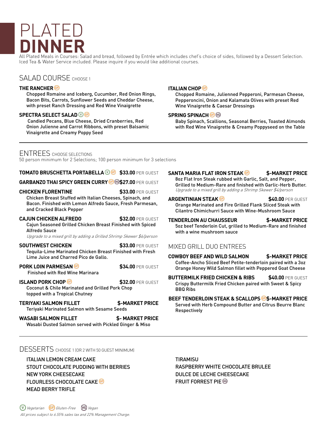# PLATE **DINNER**

All Plated Meals in Courses: Salad and bread, followed by Entrée which includes chef's choice of sides, followed by a Dessert Selection. Iced Tea & Water Service included. Please inquire if you would like additional courses.

### SALAD COURSE CHOOSE 1

#### **THE RANCHER**

Chopped Romaine and Iceberg, Cucumber, Red Onion Rings, Bacon Bits, Carrots, Sunflower Seeds and Cheddar Cheese, with preset Ranch Dressing and Red Wine Vinaigrette

#### **SPECTRA SELECT SALAD**<sup>**O**</sub></sup>

 Candied Pecans, Blue Cheese, Dried Cranberries, Red Onion Julienne and Carrot Ribbons, with preset Balsamic Vinaigrette and Creamy Poppy Seed

#### **ITALIAN CHOP**

Chopped Romaine, Julienned Pepperoni, Parmesan Cheese, Pepperoncini, Onion and Kalamata Olives with preset Red Wine Vinaigrette & Caesar Dressings

#### **SPRING SPINACH**<sup>6</sup>

Baby Spinach, Scallions, Seasonal Berries, Toasted Almonds with Red Wine Vinaigrette & Creamy Poppyseed on the Table

### ENTREES CHOOSE SELECTIONS

50 person minimum for 2 Selections; 100 person minimum for 3 selections

#### **TOMATO BRUSCHETTA PORTABELLA<sup>***®***</sup> \$33.00 PER GUEST</sub>**

**GARBANZO THAI SPICY GREEN CURRY <sup>6</sup> 8\$27.00 PER GUEST** 

**CHICKEN FLORENTINE \$33.00 PER GUEST** Chicken Breast Stuffed with Italian Cheeses, Spinach, and Bacon. Finished with Lemon Alfredo Sauce, Fresh Parmesan, and Cracked Black Pepper

**CAJUN CHICKEN ALFREDO \$32.00 PER GUEST** Cajun Seasoned Grilled Chicken Breast Finished with Spiced Alfredo Sauce

Upgrade to a mixed grill by adding a Grilled Shrimp Skewer \$6/person

**SOUTHWEST CHICKEN \$33.00 PER GUEST** Tequila-Lime Marinated Chicken Breast Finished with Fresh Lime Juice and Charred Pico de Gallo.

**PORK LOIN PARMESAN <b>6 \$34.00** PER GUEST Finished with Red Wine Marinara

**ISLAND PORK CHOP <b>b 6 \$32.00** PER GUEST Coconut & Chile Marinated and Grilled Pork Chop topped with a Tropical Chutney

**TERIYAKI SALMON FILLET \$-MARKET PRICE** Teriyaki Marinated Salmon with Sesame Seeds

**WASABI SALMON FILLET \$- MARKET PRICE** Wasabi Dusted Salmon served with Pickled Ginger & Miso

## **SANTA MARIA FLAT IRON STEAK \$-MARKET PRICE**

8oz Flat Iron Steak rubbed with Garlic, Salt, and Pepper, Grilled to Medium-Rare and finished with Garlic-Herb Butter. Upgrade to a mixed grill by adding a Shrimp Skewer \$4/person

#### **ARGENTINIAN STEAK<sup>®</sup> \$40.00 PER GUEST**

Orange Marinated and Fire Grilled Flank Sliced Steak with Cilantro Chimichurri Sauce with Wine-Mushroom Sauce

**TENDERLOIN AU CHAUSSEUR \$-MARKET PRICE** 5oz beef Tenderloin Cut, grilled to Medium-Rare and finished with a wine mushroom sauce

### MIXED GRILL DUO ENTREES

**COWBOY BEEF AND WILD SALMON \$-MARKET PRICE** Coffee-Ancho Sliced Beef Petite-tenderloin paired with a 3oz Orange Honey Wild Salmon fillet with Peppered Goat Cheese

**BUTTERMILK FRIED CHICKEN & RIBS \$40.00 PER GUEST** Crispy Buttermilk Fried Chicken paired with Sweet & Spicy BBQ Ribs

**BEEF TENDERLOIN STEAK & SCALLOPS \$-MARKET PRICE**

Served with Herb Compound Butter and Citrus Beurre Blanc Respectively

### DESSERTS CHOOSE 1 (OR 2 WITH 50 GUEST MINIMUM)

ITALIAN LEMON CREAM CAKE STOUT CHOCOLATE PUDDING WITH BERRIES NEW YORK CHEESECAKE FLOURLESS CHOCOLATE CAKE MEAD BERRY TRIFLE

TIRAMISU RASPBERRY WHITE CHOCOLATE BRULEE DULCE DE LECHE CHEESECAKE FRUIT FORREST PIE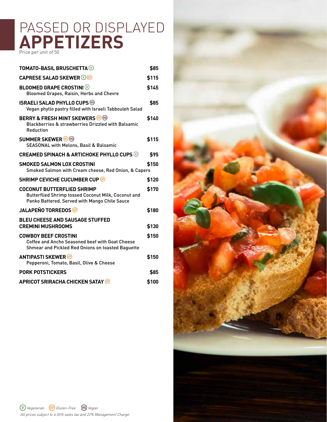## PASSED OR DISPLAYED APPETIZERS

| <b>TOMATO-BASIL BRUSCHETTA ®</b>                                                                                                          | \$85  |
|-------------------------------------------------------------------------------------------------------------------------------------------|-------|
| <b>CAPRESE SALAD SKEWER OG</b>                                                                                                            | \$115 |
| <b>BLOOMED GRAPE CROSTINI</b><br>Bloomed Grapes, Raisin, Herbs and Chevre                                                                 | \$145 |
| <b>ISRAELI SALAD PHYLLO CUPS ®</b><br>Vegan phyllo pastry filled with Israeli Tabbouleh Salad                                             | \$85  |
| <b>BERRY &amp; FRESH MINT SKEWERS GB</b><br><b>Blackberries &amp; strawberries Drizzled with Balsamic</b><br>Reduction                    | \$140 |
| <b>SUMMER SKEWER</b> <sup>®</sup><br><b>SEASONAL with Melons, Basil &amp; Balsamic</b>                                                    | \$115 |
| <b>CREAMED SPINACH &amp; ARTICHOKE PHYLLO CUPS W</b>                                                                                      | \$95  |
| <b>SMOKED SALMON LOX CROSTINI</b><br>Smoked Salmon with Cream cheese, Red Onion, & Capers                                                 | \$150 |
| <b>SHRIMP CEVICHE CUCUMBER CUP GB</b>                                                                                                     | \$120 |
| <b>COCONUT BUTTERFLIED SHRIMP</b><br>Butterflied Shrimp tossed Coconut Milk, Coconut and<br>Panko Battered. Served with Mango Chile Sauce | \$170 |
| <b>JALAPEÑO TORREDOS</b>                                                                                                                  | \$180 |
| <b>BLEU CHEESE AND SAUSAGE STUFFED</b><br><b>CREMINI MUSHROOMS</b>                                                                        | \$130 |
| <b>COWBOY BEEF CROSTINI</b><br>Coffee and Ancho Seasoned beef with Goat Cheese<br>Shmear and Pickled Red Onions on toasted Baguette       | \$150 |
| <b>ANTIPASTI SKEWER</b><br>Pepperoni, Tomato, Basil, Olive & Cheese                                                                       | \$150 |
| <b>PORK POTSTICKERS</b>                                                                                                                   | \$85  |
| <b>APRICOT SRIRACHA CHICKEN SATAY @</b>                                                                                                   | \$100 |

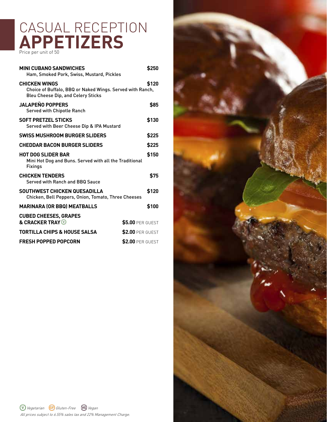## CASUAL RECEPTION APPETIZERS

| <b>MINI CUBANO SANDWICHES</b><br>Ham, Smoked Pork, Swiss, Mustard, Pickles                                                     | \$250                   |
|--------------------------------------------------------------------------------------------------------------------------------|-------------------------|
| <b>CHICKEN WINGS</b><br>Choice of Buffalo, BBQ or Naked Wings. Served with Ranch,<br><b>Bleu Cheese Dip, and Celery Sticks</b> | \$120                   |
| <b>JALAPEÑO POPPERS</b><br><b>Served with Chipotle Ranch</b>                                                                   | \$85                    |
| <b>SOFT PRETZEL STICKS</b><br>Served with Beer Cheese Dip & IPA Mustard                                                        | \$130                   |
| SWISS MUSHROOM BURGER SLIDERS                                                                                                  | \$225                   |
| <b>CHEDDAR BACON BURGER SLIDERS</b>                                                                                            | \$225                   |
| <b>HOT DOG SLIDER BAR</b><br>Mini Hot Dog and Buns. Served with all the Traditional<br><b>Fixings</b>                          | \$150                   |
| <b>CHICKEN TENDERS</b><br>Served with Ranch and BBQ Sauce                                                                      | \$75                    |
| SOUTHWEST CHICKEN QUESADILLA<br>Chicken, Bell Peppers, Onion, Tomato, Three Cheeses                                            | \$120                   |
| <b>MARINARA (OR BBQ) MEATBALLS</b>                                                                                             | \$100                   |
| <b>CUBED CHEESES, GRAPES</b><br>& CRACKER TRAY @                                                                               | <b>\$5.00 PER GUEST</b> |
| <b>TORTILLA CHIPS &amp; HOUSE SALSA</b>                                                                                        | \$2.00 PER GUEST        |
| <b>FRESH POPPED POPCORN</b>                                                                                                    | <b>\$2.00 PER GUEST</b> |

All prices subject to 6.55% sales tax and 22% Management Charge.

Vegetarian Gluten-Free Vegan

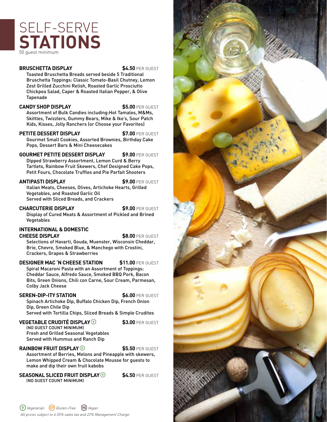## SELF-SERVE **STATIONS** 50 guest minimum

#### **BRUSCHETTA DISPLAY \$4.50 PER GUEST**

Toasted Bruschetta Breads served beside 5 Traditional Bruschetta Toppings: Classic Tomato-Basil Chutney, Lemon Zest Grilled Zucchini Relish, Roasted Garlic Prosciutto Chickpea Salad, Caper & Roasted Italian Pepper, & Olive Tapenade

#### **CANDY SHOP DISPLAY \$5.00** PER GUEST

Assortment of Bulk Candies including:Hot Tamales, M&Ms, Skittles, Twizzlers, Gummy Bears, Mike & Ike's, Sour Patch Kids, Kisses, Jolly Ranchers (or Choose your Favorites)

**PETITE DESSERT DISPLAY \$7.00** PER GUEST Gourmet Small Cookies, Assorted Brownies, Birthday Cake Pops, Dessert Bars & Mini Cheesecakes

**GOURMET PETITE DESSERT DISPLAY \$9.00** PER GUEST Dipped Strawberry Assortment, Lemon Curd & Berry Tartlets, Rainbow Fruit Skewers, Chef Designed Cake Pops, Petit Fours, Chocolate Truffles and Pie Parfait Shooters

**ANTIPASTI DISPLAY \$9.00** PER GUEST Italian Meats, Cheeses, Olives, Artichoke Hearts, Grilled

Vegetables, and Roasted Garlic Oil Served with Sliced Breads, and Crackers

**CHARCUTERIE DISPLAY \$9.00** PER GUEST Display of Cured Meats & Assortment of Pickled and Brined Vegetables

### **INTERNATIONAL & DOMESTIC**

**CHEESE DISPLAY 58.00** PER GUEST

Selections of Havarti, Gouda, Muenster, Wisconsin Cheddar, Brie, Chevre, Smoked Blue, & Manchego with Crostini, Crackers, Grapes & Strawberries

### **DESIGNER MAC 'N CHEESE STATION \$11.00** PER GUEST

Spiral Macaroni Pasta with an Assortment of Toppings: Cheddar Sauce, Alfredo Sauce, Smoked BBQ Pork, Bacon Bits, Green Onions, Chili con Carne, Sour Cream, Parmesan, Colby Jack Cheese

### **SEREN-DIP-ITY STATION \$6.00** PER GUEST

Spinach Artichoke Dip, Buffalo Chicken Dip, French Onion Dip, Green Chile Dip

Served with Tortilla Chips, Sliced Breads & Simple Crudites

#### **VEGETABLE CRUDITÉ DISPLAY \$3.00** PER GUEST

(NO GUEST COUNT MINIMUM) Fresh and Grilled Seasonal Vegetables Served with Hummus and Ranch Dip

### **RAINBOW FRUIT DISPLAY<sup>®</sup> \$5.50** PER GUEST

Assortment of Berries, Melons and Pineapple with skewers, Lemon Whipped Cream & Chocolate Mousse for guests to make and dip their own fruit kabobs

**SEASONAL SLICED FRUIT DISPLAY<sup><sup>®</sup> \$4.50** PER GUEST</sup> (NO GUEST COUNT MINIMUM)

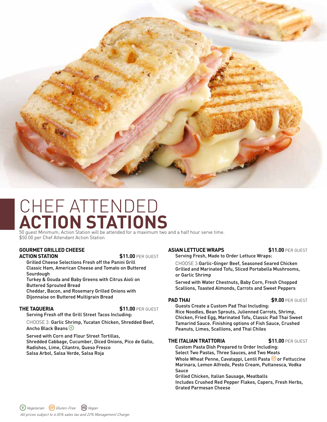

## CHEF ATTENDED **ACTION STATIONS**

50 guest Minimum; Action Station will be attended for a maximum two and a half hour serve time. \$50.00 per Chef Attendant Action Station

#### **GOURMET GRILLED CHEESE ACTION STATION \$11.00** PER GUEST

Grilled Cheese Selections Fresh off the Panini Grill Classic Ham, American Cheese and Tomato on Buttered Sourdough

Turkey & Gouda and Baby Greens with Citrus Aioli on Buttered Sprouted Bread

Cheddar, Bacon, and Rosemary Grilled Onions with Dijonnaise on Buttered Multigrain Bread

#### **THE TAQUERIA \$11.00** PER GUEST

Serving Fresh off the Grill Street Tacos Including:

CHOOSE 3: Garlic Shrimp, Yucatan Chicken, Shredded Beef, Ancho Black Beans

Served with Corn and Flour Street Tortillas, Shredded Cabbage, Cucumber, Diced Onions, Pico de Gallo, Radishes, Lime, Cilantro, Queso Fresco Salsa Arbol, Salsa Verde, Salsa Roja

#### **ASIAN LETTUCE WRAPS \$11.00** PER GUEST

Serving Fresh, Made to Order Lettuce Wraps:

CHOOSE 3:Garlic-Ginger Beef, Seasoned Seared Chicken Grilled and Marinated Tofu, Sliced Portabella Mushrooms, or Garlic Shrimp

Served with Water Chestnuts, Baby Corn, Fresh Chopped Scallions, Toasted Almonds, Carrots and Sweet Peppers

#### **PAD THAI \$9.00 PER GUEST**

Guests Create a Custom Pad Thai Including: Rice Noodles, Bean Sprouts, Julienned Carrots, Shrimp, Chicken, Fried Egg, Marinated Tofu, Classic Pad Thai Sweet Tamarind Sauce. Finishing options of Fish Sauce, Crushed Peanuts, Limes, Scallions, and Thai Chiles

#### **THE ITALIAN TRATTORIA 511.00 PER GUEST**

Custom Pasta Dish Prepared to Order Including: Select Two Pastas, Three Sauces, and Two Meats Whole Wheat Penne, Cavatappi, Lentil Pasta <sup>@</sup> or Fettuccine Marinara, Lemon Alfredo, Pesto Cream, Puttanesca, Vodka Sauce

Grilled Chicken, Italian Sausage, Meatballs Includes Crushed Red Pepper Flakes, Capers, Fresh Herbs, Grated Parmesan Cheese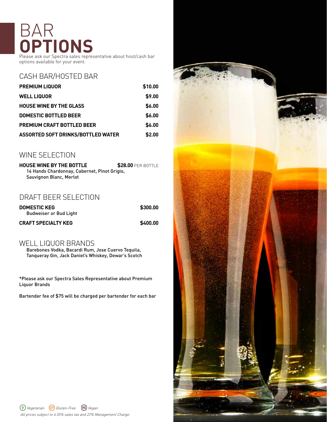# BAI **OPTIONS**

Please ask our Spectra sales representative about host/cash bar options available for your event.

## CASH BAR/HOSTED BAR

| <b>PREMIUM LIQUOR</b>              | \$10.00 |
|------------------------------------|---------|
| <b>WELL LIQUOR</b>                 | \$9.00  |
| <b>HOUSE WINE BY THE GLASS</b>     | \$6.00  |
| <b>DOMESTIC BOTTLED BEER</b>       | \$6.00  |
| <b>PREMIUM CRAFT BOTTLED BEER</b>  | \$6.00  |
| ASSORTED SOFT DRINKS/BOTTLED WATER | \$2.00  |

### WINE SELECTION

**HOUSE WINE BY THE BOTTLE \$28.00 PER BOTTLE** 14 Hands Chardonnay, Cabernet, Pinot Grigio, Sauvignon Blanc, Merlot

### DRAFT BEER SELECTION

| <b>DOMESTIC KEG</b>        | \$300.00 |
|----------------------------|----------|
| Budweiser or Bud Light     |          |
| <b>CRAFT SPECIALTY KEG</b> | \$400.00 |

### WELL LIQUOR BRANDS

Barebones Vodka, Bacardi Rum, Jose Cuervo Tequila, Tanqueray Gin, Jack Daniel's Whiskey, Dewar's Scotch

\*Please ask our Spectra Sales Representative about Premium Liquor Brands

Bartender fee of \$75 will be charged per bartender for each bar